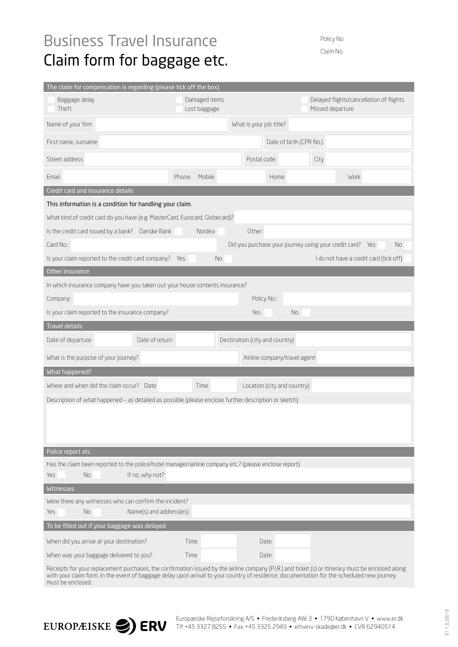## Business Travel Insurance Claim form for baggage etc.

Policy No. Claim No.

| The claim for compensation is regarding (please tick off the box)                                     |                               |                                |                  |                                         |  |  |  |  |  |  |  |
|-------------------------------------------------------------------------------------------------------|-------------------------------|--------------------------------|------------------|-----------------------------------------|--|--|--|--|--|--|--|
| Baggage delay<br>Theft                                                                                | Damaged items<br>Lost baggage |                                | Missed departure | Delayed flights/cancellation of flights |  |  |  |  |  |  |  |
| Name of your firm                                                                                     |                               | What is your job title?        |                  |                                         |  |  |  |  |  |  |  |
| First name, surname                                                                                   | Date of birth (CPR No.)       |                                |                  |                                         |  |  |  |  |  |  |  |
| Street address                                                                                        | Postal code.<br>City          |                                |                  |                                         |  |  |  |  |  |  |  |
| Email                                                                                                 | Mobile<br>Phone:              | Home                           |                  | Work                                    |  |  |  |  |  |  |  |
| Credit card and insurance details                                                                     |                               |                                |                  |                                         |  |  |  |  |  |  |  |
| This information is a condition for handling your claim.                                              |                               |                                |                  |                                         |  |  |  |  |  |  |  |
| What kind of credit card do you have (e.g. MasterCard, Eurocard, Globecard)?                          |                               |                                |                  |                                         |  |  |  |  |  |  |  |
| Is the credit card issued by a bank? Danske Bank                                                      | Nordea                        | Other:                         |                  |                                         |  |  |  |  |  |  |  |
| Card No.:<br>Did you purchase your journey using your credit card? Yes<br><b>No</b>                   |                               |                                |                  |                                         |  |  |  |  |  |  |  |
| Is your claim reported to the credit card company? Yes                                                | No                            |                                |                  | I do not have a credit card (tick off)  |  |  |  |  |  |  |  |
| Other insurance                                                                                       |                               |                                |                  |                                         |  |  |  |  |  |  |  |
| In which insurance company have you taken out your house contents insurance?                          |                               |                                |                  |                                         |  |  |  |  |  |  |  |
| Company:<br>Policy No.:                                                                               |                               |                                |                  |                                         |  |  |  |  |  |  |  |
| Is your claim reported to the insurance company?<br><b>No</b><br>Yes                                  |                               |                                |                  |                                         |  |  |  |  |  |  |  |
|                                                                                                       |                               |                                |                  |                                         |  |  |  |  |  |  |  |
| <b>Travel details</b>                                                                                 |                               |                                |                  |                                         |  |  |  |  |  |  |  |
| Date of departure<br>Date of return                                                                   |                               | Destination (city and country) |                  |                                         |  |  |  |  |  |  |  |
| What is the purpose of your journey?                                                                  |                               | Airline company/travel agent   |                  |                                         |  |  |  |  |  |  |  |
| What happened?                                                                                        |                               |                                |                  |                                         |  |  |  |  |  |  |  |
| Where and when did the claim occur? Date                                                              | Time                          | Location (city and country)    |                  |                                         |  |  |  |  |  |  |  |
| Description of what happened - as detailed as possible (please enclose further description or sketch) |                               |                                |                  |                                         |  |  |  |  |  |  |  |
|                                                                                                       |                               |                                |                  |                                         |  |  |  |  |  |  |  |
|                                                                                                       |                               |                                |                  |                                         |  |  |  |  |  |  |  |
|                                                                                                       |                               |                                |                  |                                         |  |  |  |  |  |  |  |
| Police report etc.                                                                                    |                               |                                |                  |                                         |  |  |  |  |  |  |  |
| Has the claim been reported to the police/hotel manager/airline company etc.? (please enclose report) |                               |                                |                  |                                         |  |  |  |  |  |  |  |
| If no, why not?<br>No.<br>Yes                                                                         |                               |                                |                  |                                         |  |  |  |  |  |  |  |
| <b>Witnesses</b>                                                                                      |                               |                                |                  |                                         |  |  |  |  |  |  |  |
| Were there any witnesses who can confirm the incident?<br>No                                          |                               |                                |                  |                                         |  |  |  |  |  |  |  |
| Yes<br>Name(s) and address(es)<br>To be filled out if your baggage was delayed                        |                               |                                |                  |                                         |  |  |  |  |  |  |  |
|                                                                                                       | Time                          | Date                           |                  |                                         |  |  |  |  |  |  |  |
| When did you arrive at your destination?<br>When was your baggage delivered to you?                   | Time                          | Date                           |                  |                                         |  |  |  |  |  |  |  |

with your claim form. In the event of baggage delay upon arrival to your country of residence, documentation for the scheduled new journey must be enclosed.